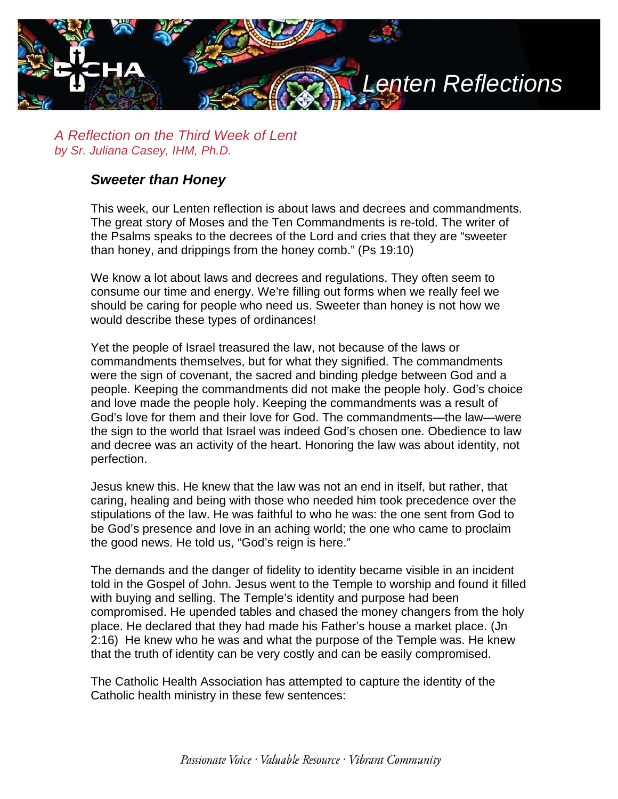

*A Reflection on the Third Week of Lent by Sr. Juliana Casey, IHM, Ph.D.*

## *Sweeter than Honey*

This week, our Lenten reflection is about laws and decrees and commandments. The great story of Moses and the Ten Commandments is re-told. The writer of the Psalms speaks to the decrees of the Lord and cries that they are "sweeter than honey, and drippings from the honey comb." (Ps 19:10)

We know a lot about laws and decrees and regulations. They often seem to consume our time and energy. We're filling out forms when we really feel we should be caring for people who need us. Sweeter than honey is not how we would describe these types of ordinances!

Yet the people of Israel treasured the law, not because of the laws or commandments themselves, but for what they signified. The commandments were the sign of covenant, the sacred and binding pledge between God and a people. Keeping the commandments did not make the people holy. God's choice and love made the people holy. Keeping the commandments was a result of God's love for them and their love for God. The commandments—the law—were the sign to the world that Israel was indeed God's chosen one. Obedience to law and decree was an activity of the heart. Honoring the law was about identity, not perfection.

Jesus knew this. He knew that the law was not an end in itself, but rather, that caring, healing and being with those who needed him took precedence over the stipulations of the law. He was faithful to who he was: the one sent from God to be God's presence and love in an aching world; the one who came to proclaim the good news. He told us, "God's reign is here."

The demands and the danger of fidelity to identity became visible in an incident told in the Gospel of John. Jesus went to the Temple to worship and found it filled with buying and selling. The Temple's identity and purpose had been compromised. He upended tables and chased the money changers from the holy place. He declared that they had made his Father's house a market place. (Jn 2:16) He knew who he was and what the purpose of the Temple was. He knew that the truth of identity can be very costly and can be easily compromised.

The Catholic Health Association has attempted to capture the identity of the Catholic health ministry in these few sentences: